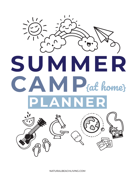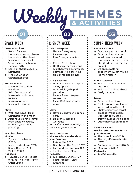## Weekly THEMES

**02**

## SPACE WEEK

#### **Learn & Explore**

- o Search for stars
- o Learn about moon phases

**01**

- o Learn about the planets
- o Make a seltzer rocket
- o View the atmosphere on Google Earth
- o Learn all about a specific astronaut
- o Find out what an astronomer does

#### **Fun & Creative**

- o Make a solar system necklace
- o Paint "moon rocks"
- o Make toilet roll space rockets
- o Make moon sand
- o Make galaxy slime

#### **Move**

- o Walk and jump like an astronaut on the moon
- o Astronaut training (jump rope, obstacle course, crunches, push-ups, planking)

#### **Watch & Listen Movies:**

- o Fly Me to the Moon (2009)
- o Mars Needs Moms (2011)
- o Space Chimps (2008)
- o Wall-E (2008)

#### **Podcasts:**

o Tumble Science Podcast for Kids (The Road Trip to Outer Space)

## DISNEY WEEK

#### **Learn & Explore**

- o Have a Disney song karaoke night
- o Play Disney character dress up
- o Read a Disney book
- o Do Disney themed word searches, word scrambles, I-spy activities, etc. (find free printables online)

#### **Fun & Creative**

- o Make Snow White inspired candy apples
- o Make Mickey-shaped pancakes
- o Make a Frozen inspired snowglobe
- o Make Olaf marshmallow pops

#### **Move**

- o Have a Disney song dance party
- o Do Disney inspired workouts (https://family.disney.com/arti cles/disney-workouts/)

#### **Watch & Listen Movies: (You can decide on your favorite)**

- o Ratatouille (2007)
- o Beauty and the Beast (1991)
- o Lady and the Tramp (2019)
- o The Lion King (1994)

#### **Podcasts:**

o Kid-Friendly Disney Fun Facts Podcast - Chris Krimitsos

## SUPER HERO WEEK

#### **Learn & Explore**

o Draw a super hero comic

**03**

- o Do super hero themed word searches, word scrambles, I-spy activities, etc. (find free printables online)
- o Do an ice melting experiment (What makes ice melt faster?)

#### **Fun & Creative**

- o Make super hero masks and cuffs
- o Make a super hero shield
- o Design a cape

#### **Move**

- o Do super hero jumps
- o Bust through a wall (made with cardboard boxes)
- o Sticky spider web target practice (make a spider web with sticky tape & throw newspaper balls at it)
- o Super hero action training

#### **Watch & Listen**

#### **Movies:** *(You can decide on your favorite)*

- o The Incredibles (2004)
- o The Lego Batman Movie (2017)
- o Captain Underpants (2017)
- o Megamind (2010)

#### **Podcasts:**

o Just Us Weirdos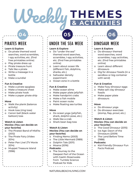## **& ACTIVITIES**

## PIRATES WEEK

#### **Learn & Explore**

o Do pirate themed word searches, word scrambles, I-spy activities, etc. (find free printables online)

**04**

- o Play pirate dress up
- o Pirate treasure hunt
- o Talk like a pirate
- o Write a message in a bottle
- o Make a sundial

#### **Fun & Creative**

- o Make a pirate spyglass
- o Make a treasure chest
- o Make pirate hook
- o Make a paper pirate ship

#### **Move**

- o Walk the plank (balance activity)
- o Hook toss (ring toss)
- o Canon ball (black water balloon) toss

#### **Watch & Listen**

#### **Movies: (You can decide on your favorite)**

- o The Pirates! Band of Misfits (2012)
- o The Pirate Fairy (Video 2014)
- o Peter Pan Live! (TV Movie 2014)
- o Muppet Treasure Island (1996)

### UNDER THE SEA WEEK

**05**

#### **Learn & Explore**

- o Do "under the sea" themed word searches, scrambles, I-spy activities, etc. (find free printables online)
- o Learn about ocean life (different fish, dolphins, sharks, etc.)
- o Saltwater density experiment
- o Ocean zone in a bottle

#### **Fun & Creative**

- o Make ocean slime
- o Make paper plate jellyfish
- o Make handprint crabs
- o Make a fish mobile
- o Paint ocean rocks
- o Make floating sea turtles

#### **Move**

- o Do ocean yoga (jellyfish, shark, dolphin pose, etc.)
- o Walk like a crab
- o Shark bean bag toss

#### **Watch & Listen Movies: (You can decide on your favorite)**

- o Finding Nemo (2003) o The Little Mermaid (1989) o Dolphin Tale (2011)
- o Moana (2016)

#### **Podcasts:**

o The Journey to the Deepest Part of the Ocean with Gaelin Rosenwaks from Tumble Science Podcast for Kids

## DINOSAUR WEEK

#### **Learn & Explore**

o Do dinosaur themed word searches, word scrambles, I-spy activities, etc. (find free printables online)

**06**

- o Learn about different dinosaurs
- o Dig for dinosaur fossils (in a sandbox or big container with sand)

#### **Fun & Creative**

- o Make fizzy dinosaur eggs
- o Make salt clay dinosaur fossils
- o Make paper plate dinosaurs

#### **Move**

- o Do dinosaur yoga
- o Do dinosaur exercises (stomp, flap, prowl, etc.)

#### **Watch & Listen**

#### **Movies: (You can decide on your favorite)**

- o The Good Dinosaur (2015)
- o Ice Age: Dawn of the Dinosaurs (2009)
- o The Land Before Time (1988)

#### **Podcasts:**

o Kid-Friendly Dinosaur Fun Facts Podcast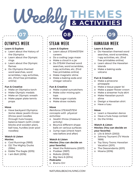## **& ACTIVITIES**

**08**

## OLYMPICS WEEK

#### **Learn & Explore**

o Learn about the history of the Olympics

**07**

- o Learn about the Olympic rings
- o Learn about the Olympic flames
- o Do Olympics themed word searches, word scrambles, I-spy activities, etc. (find free printables online)

#### **Fun & Creative**

- o Make an Olympics torch
- o Make Olympic medals
- o Make an Olympic wreath
- Make paper plate tennis props

#### **Move**

o Have backyard Olympics: *Some ideas:* javelin throw (throw pool noodles through hula hoops), balance beam (with cinder blocks and wooden plan), ball toss, hurdles (over pool noodles)

#### **Watch & Listen Movies:**

- o Cool Runnings (1993)
- o D2: The Mighty Ducks (1994)
- o Eddie The Eagle (2015)
- o I am Bolt (2016)

## STEAM WEEK

#### **Learn & Explore**

- o Learn about STEAM/STEM careers
- o Do a coding Lego maze
- o Make a cloud in a jar
- o Do STEAM themed word searches, word scrambles, I-spy activities, etc. (find free printables online)
- o Make magnetic slime
- o Make a baking soda and vinegar volcano

#### **Fun & Creative**

- o Make crystal suncatchers
- o Make color mixing spin tops
- o Make sugar crystals
- o Make straw rockets

#### **Move**

*Reinforce STEAM/STEM concepts with physical activities:*

- o Javelin throw (measure activity)
- o Bounce different shape balls on various surfaces
- o Jump rope (check heart rate before and after)

#### **Watch & Listen Movies: (You can decide on your favorite)**

- o Meet the Robinsons (2007)
- o Flubber (1997)
- o Robots (2005)
- o Big Hero 6 (2014)

#### **Podcasts:**

o Brains On!

### HAWAIIAN WEEK

#### **Learn & Explore**

o Do Hawaiian themed word searches, word scrambles, I-spy activities, etc. (find free printables online)

**09**

- o Learn about the Hawaiian islands
- o Make a baking soda volcano

#### **Fun & Creative**

- o Make a pinecone pineapple
- o Make a tissue paper lei
- o Make a paper flower crown
- o Make a streamer hula skirt
- o Make Hawaiian punch slime
- o Design a Hawaiian shirt
- o Have a luau

#### **Move**

- o Learn a Hawaiian dance
- o Have a hula hoop contest
- o Do the limbo

#### **Watch & Listen**

#### **Movies: (You can decide on your favorite)**

- o Lilo & Stitch (2002)
- o Johnny Tsunami (TV Movie 1999)
- o Toy Story Toons: Hawaiian Vacation (2011)
- o The Descendants (2011)
- o Moana (2016)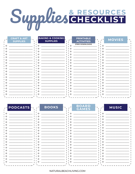# Supplies & RESOURCES

|          | <b>CRAFT &amp; ART</b> | <b>BAKING &amp; COOKING</b> | <b>PRINTABLE</b>                                                                                                                                                                                                                                                                                        |              |               |
|----------|------------------------|-----------------------------|---------------------------------------------------------------------------------------------------------------------------------------------------------------------------------------------------------------------------------------------------------------------------------------------------------|--------------|---------------|
|          | <b>SUPPLIES</b>        | <b>SUPPLIES</b>             | <b>ACTIVITIES</b>                                                                                                                                                                                                                                                                                       |              | <b>MOVIES</b> |
| n        |                        | $\Omega$                    | (FREE DOWNLOADS)<br>O                                                                                                                                                                                                                                                                                   | <sup>o</sup> |               |
| $\Omega$ |                        | $\Omega$                    | $\Omega$                                                                                                                                                                                                                                                                                                | $\Omega$     |               |
|          |                        | $\Omega$                    | $\Omega$                                                                                                                                                                                                                                                                                                |              |               |
|          |                        | $\circ$                     | $\circ$                                                                                                                                                                                                                                                                                                 | $\circ$      |               |
| n        |                        | $\Omega$                    | $\circ$                                                                                                                                                                                                                                                                                                 |              |               |
| $\Omega$ |                        | $\Omega$                    | $\circ$                                                                                                                                                                                                                                                                                                 | റ            |               |
|          |                        | $\circ$                     | $\circ$                                                                                                                                                                                                                                                                                                 | <sup>o</sup> |               |
|          |                        | $\circ$                     | $\circ$                                                                                                                                                                                                                                                                                                 | O            |               |
| $\Omega$ |                        | $\Omega$                    | $\Omega$                                                                                                                                                                                                                                                                                                | ⌒            |               |
| $\Omega$ |                        | $\circ$                     | $\circ$                                                                                                                                                                                                                                                                                                 | О            |               |
| O        |                        | $\circ$                     | $\circ$ and $\circ$ and $\circ$ and $\circ$ and $\circ$ and $\circ$ and $\circ$ and $\circ$ and $\circ$ and $\circ$ and $\circ$ and $\circ$ and $\circ$ and $\circ$ and $\circ$ and $\circ$ and $\circ$ and $\circ$ and $\circ$ and $\circ$ and $\circ$ and $\circ$ and $\circ$ and $\circ$ and $\circ$ | $\circ$      |               |
|          |                        | $\Omega$                    | $\Omega$                                                                                                                                                                                                                                                                                                |              |               |
|          |                        | $\Omega$                    | $\Omega$                                                                                                                                                                                                                                                                                                | C.           |               |
|          |                        | O                           | $\circ$                                                                                                                                                                                                                                                                                                 | O            |               |
| ∩        |                        | $\circ$                     | $\circ$                                                                                                                                                                                                                                                                                                 | <sup>o</sup> |               |
| ∩        |                        | $\Omega$                    | $\Omega$                                                                                                                                                                                                                                                                                                |              |               |
|          |                        | C.                          | $0 \quad \underline{\quad}$                                                                                                                                                                                                                                                                             | റ            |               |
|          |                        | $\circ$                     | $\circ$                                                                                                                                                                                                                                                                                                 | C            |               |
|          |                        |                             |                                                                                                                                                                                                                                                                                                         |              |               |

| <b>EPODCASTS</b> | <b>BOOKS</b><br>$\sim$ $\sim$ $\sim$ | <b>BOARD</b><br><b>GAMES</b> | <b>MUSIC</b> |
|------------------|--------------------------------------|------------------------------|--------------|
|                  | $\circ$                              | $\circ$                      | $\Omega$     |
|                  | $\circ$                              | $\Omega$                     | O            |
|                  | $\Omega$                             | $\circ$                      | $\Omega$     |
|                  | $\circ$                              | $\circ$                      | O.           |
|                  | $\circ$                              | $\circ$                      |              |
|                  | $\circ$                              | $\circ$                      | ∩            |
| $\Omega$         | $\Omega$                             | $\circ$                      |              |
|                  | O                                    | $\circ$                      | $\circ$      |
|                  | $\Omega$                             | $\circ$                      | ∩            |
|                  | ∩                                    | $\Omega$                     | $\Omega$     |
|                  | O                                    | $\circ$                      | O.           |
|                  | $\circ$                              | $\circ$                      | $\Omega$     |
|                  | $\Omega$                             | $\circ$                      | $\Omega$     |
| $\Omega$         | $\Omega$                             | $\circ$                      |              |
|                  | റ                                    | $\circ$                      |              |
|                  | ∩                                    | $\circ$                      | O            |
|                  |                                      | $\Omega$                     | $\Omega$     |
|                  | $\circ$                              | : o                          |              |
|                  |                                      |                              |              |

NATURALBEACHLIVING.COM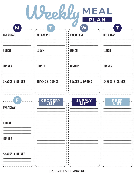Weekly MEAL

| M                          |                            |                            |                            |
|----------------------------|----------------------------|----------------------------|----------------------------|
| <b>BREAKFAST</b>           | <b>BREAKFAST</b>           | <b>BREAKFAST</b>           | <b>BREAKFAST</b>           |
| <b>LUNCH</b>               | <b>LUNCH</b>               | <b>LUNCH</b>               | <b>LUNCH</b>               |
| <b>DINNER</b>              | <b>DINNER</b>              | <b>DINNER</b>              | <b>DINNER</b>              |
| <b>SNACKS &amp; DRINKS</b> | <b>SNACKS &amp; DRINKS</b> | <b>SNACKS &amp; DRINKS</b> | <b>SNACKS &amp; DRINKS</b> |
|                            |                            |                            |                            |

|                            | <b>GROCERY</b><br><b>LIST</b> | <b>SUPPLY</b><br><b>LIST</b> | <b>PREP</b><br><u>LIST</u> |
|----------------------------|-------------------------------|------------------------------|----------------------------|
| <b>BREAKFAST</b>           |                               |                              |                            |
| <b>LUNCH</b>               |                               |                              |                            |
| <b>DINNER</b>              |                               |                              |                            |
| <b>SNACKS &amp; DRINKS</b> |                               |                              |                            |
|                            |                               |                              |                            |

NATURALBEACHLIVING.COM